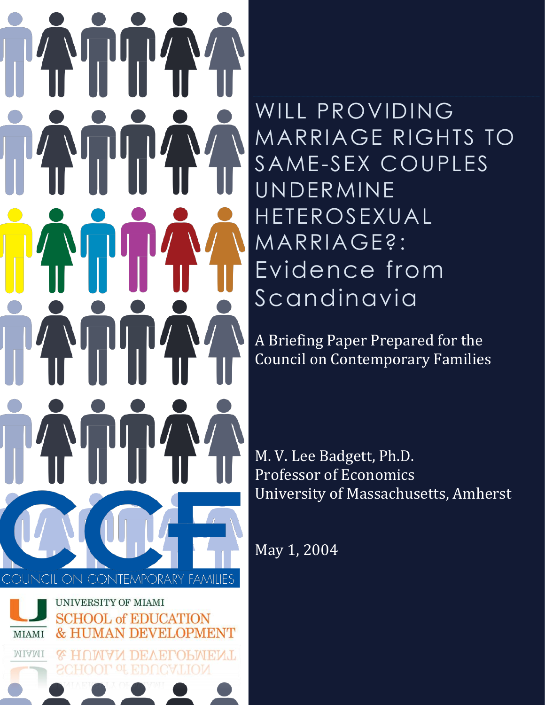

WILL PROVIDING MARRIAGE RIGHTS TO SAME-SEX COUPLES UNDERMINE HETEROSEXUAL MARRIAGE?: Evidence from Scandinavia

A Briefing Paper Prepared for the Council on Contemporary Families

M. V. Lee Badgett, Ph.D. Professor of Economics University of Massachusetts, Amherst

May 1, 2004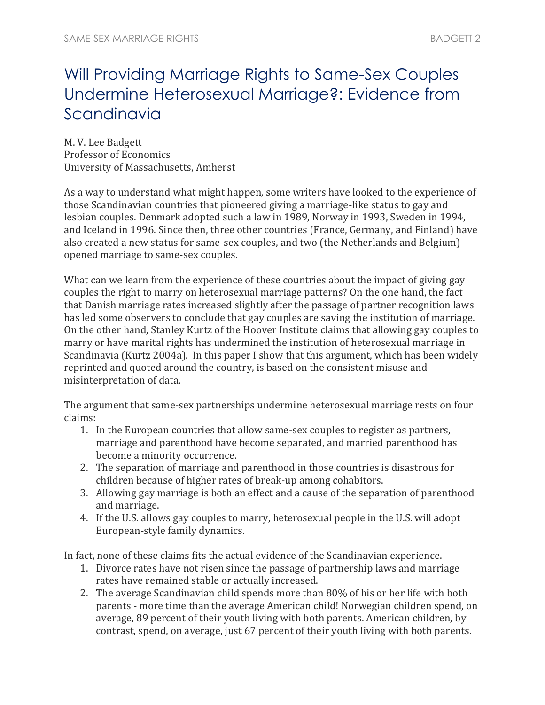## Will Providing Marriage Rights to Same-Sex Couples Undermine Heterosexual Marriage?: Evidence from **Scandinavia**

M. V. Lee Badgett Professor of Economics University of Massachusetts, Amherst

As a way to understand what might happen, some writers have looked to the experience of those Scandinavian countries that pioneered giving a marriage-like status to gay and lesbian couples. Denmark adopted such a law in 1989, Norway in 1993, Sweden in 1994, and Iceland in 1996. Since then, three other countries (France, Germany, and Finland) have also created a new status for same-sex couples, and two (the Netherlands and Belgium) opened marriage to same-sex couples.

What can we learn from the experience of these countries about the impact of giving gay couples the right to marry on heterosexual marriage patterns? On the one hand, the fact that Danish marriage rates increased slightly after the passage of partner recognition laws has led some observers to conclude that gay couples are saving the institution of marriage. On the other hand, Stanley Kurtz of the Hoover Institute claims that allowing gay couples to marry or have marital rights has undermined the institution of heterosexual marriage in Scandinavia (Kurtz 2004a). In this paper I show that this argument, which has been widely reprinted and quoted around the country, is based on the consistent misuse and misinterpretation of data.

The argument that same-sex partnerships undermine heterosexual marriage rests on four claims:

- 1. In the European countries that allow same-sex couples to register as partners, marriage and parenthood have become separated, and married parenthood has become a minority occurrence.
- 2. The separation of marriage and parenthood in those countries is disastrous for children because of higher rates of break-up among cohabitors.
- 3. Allowing gay marriage is both an effect and a cause of the separation of parenthood and marriage.
- 4. If the U.S. allows gay couples to marry, heterosexual people in the U.S. will adopt European-style family dynamics.

In fact, none of these claims fits the actual evidence of the Scandinavian experience.

- 1. Divorce rates have not risen since the passage of partnership laws and marriage rates have remained stable or actually increased.
- 2. The average Scandinavian child spends more than 80% of his or her life with both parents - more time than the average American child! Norwegian children spend, on average, 89 percent of their youth living with both parents. American children, by contrast, spend, on average, just 67 percent of their youth living with both parents.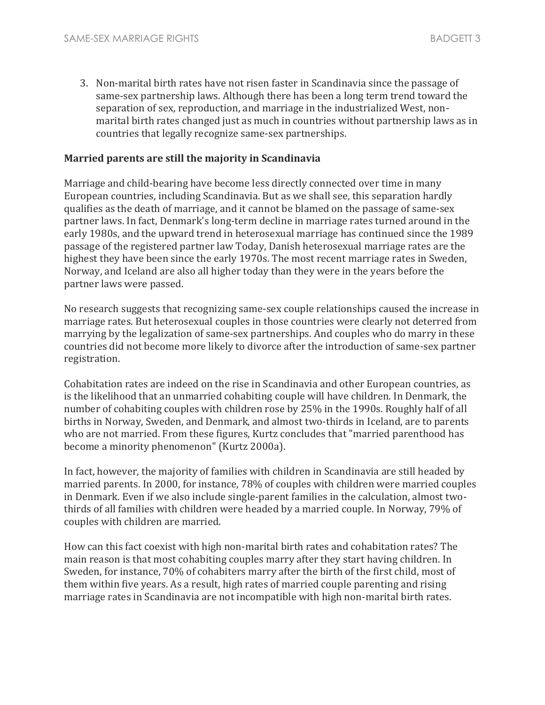3. Non-marital birth rates have not risen faster in Scandinavia since the passage of same-sex partnership laws. Although there has been a long term trend toward the separation of sex, reproduction, and marriage in the industrialized West, nonmarital birth rates changed just as much in countries without partnership laws as in countries that legally recognize same-sex partnerships.

#### **Married parents are still the majority in Scandinavia**

Marriage and child-bearing have become less directly connected over time in many European countries, including Scandinavia. But as we shall see, this separation hardly qualifies as the death of marriage, and it cannot be blamed on the passage of same-sex partner laws. In fact, Denmark's long-term decline in marriage rates turned around in the early 1980s, and the upward trend in heterosexual marriage has continued since the 1989 passage of the registered partner law Today, Danish heterosexual marriage rates are the highest they have been since the early 1970s. The most recent marriage rates in Sweden, Norway, and Iceland are also all higher today than they were in the years before the partner laws were passed.

No research suggests that recognizing same-sex couple relationships caused the increase in marriage rates. But heterosexual couples in those countries were clearly not deterred from marrying by the legalization of same-sex partnerships. And couples who do marry in these countries did not become more likely to divorce after the introduction of same-sex partner registration.

Cohabitation rates are indeed on the rise in Scandinavia and other European countries, as is the likelihood that an unmarried cohabiting couple will have children. In Denmark, the number of cohabiting couples with children rose by 25% in the 1990s. Roughly half of all births in Norway, Sweden, and Denmark, and almost two-thirds in Iceland, are to parents who are not married. From these figures, Kurtz concludes that "married parenthood has become a minority phenomenon" (Kurtz 2000a).

In fact, however, the majority of families with children in Scandinavia are still headed by married parents. In 2000, for instance, 78% of couples with children were married couples in Denmark. Even if we also include single-parent families in the calculation, almost twothirds of all families with children were headed by a married couple. In Norway, 79% of couples with children are married.

How can this fact coexist with high non-marital birth rates and cohabitation rates? The main reason is that most cohabiting couples marry after they start having children. In Sweden, for instance, 70% of cohabiters marry after the birth of the first child, most of them within five years. As a result, high rates of married couple parenting and rising marriage rates in Scandinavia are not incompatible with high non-marital birth rates.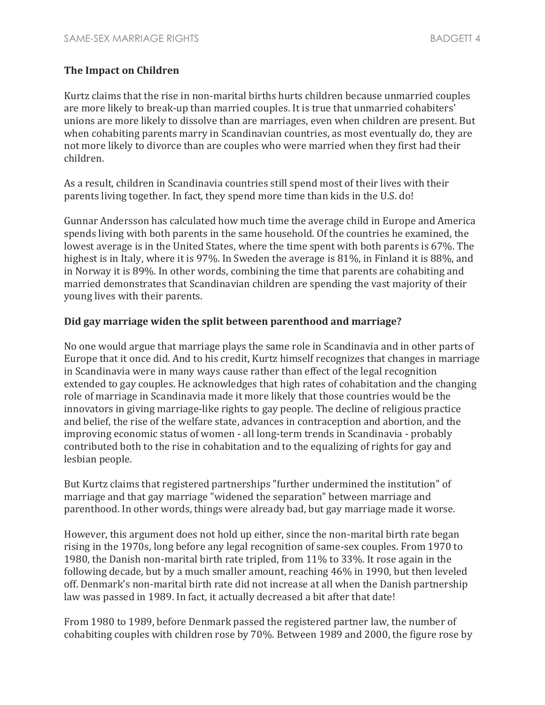### **The Impact on Children**

Kurtz claims that the rise in non-marital births hurts children because unmarried couples are more likely to break-up than married couples. It is true that unmarried cohabiters' unions are more likely to dissolve than are marriages, even when children are present. But when cohabiting parents marry in Scandinavian countries, as most eventually do, they are not more likely to divorce than are couples who were married when they first had their children.

As a result, children in Scandinavia countries still spend most of their lives with their parents living together. In fact, they spend more time than kids in the U.S. do!

Gunnar Andersson has calculated how much time the average child in Europe and America spends living with both parents in the same household. Of the countries he examined, the lowest average is in the United States, where the time spent with both parents is 67%. The highest is in Italy, where it is 97%. In Sweden the average is 81%, in Finland it is 88%, and in Norway it is 89%. In other words, combining the time that parents are cohabiting and married demonstrates that Scandinavian children are spending the vast majority of their young lives with their parents.

### **Did gay marriage widen the split between parenthood and marriage?**

No one would argue that marriage plays the same role in Scandinavia and in other parts of Europe that it once did. And to his credit, Kurtz himself recognizes that changes in marriage in Scandinavia were in many ways cause rather than effect of the legal recognition extended to gay couples. He acknowledges that high rates of cohabitation and the changing role of marriage in Scandinavia made it more likely that those countries would be the innovators in giving marriage-like rights to gay people. The decline of religious practice and belief, the rise of the welfare state, advances in contraception and abortion, and the improving economic status of women - all long-term trends in Scandinavia - probably contributed both to the rise in cohabitation and to the equalizing of rights for gay and lesbian people.

But Kurtz claims that registered partnerships "further undermined the institution" of marriage and that gay marriage "widened the separation" between marriage and parenthood. In other words, things were already bad, but gay marriage made it worse.

However, this argument does not hold up either, since the non-marital birth rate began rising in the 1970s, long before any legal recognition of same-sex couples. From 1970 to 1980, the Danish non-marital birth rate tripled, from 11% to 33%. It rose again in the following decade, but by a much smaller amount, reaching 46% in 1990, but then leveled off. Denmark's non-marital birth rate did not increase at all when the Danish partnership law was passed in 1989. In fact, it actually decreased a bit after that date!

From 1980 to 1989, before Denmark passed the registered partner law, the number of cohabiting couples with children rose by 70%. Between 1989 and 2000, the figure rose by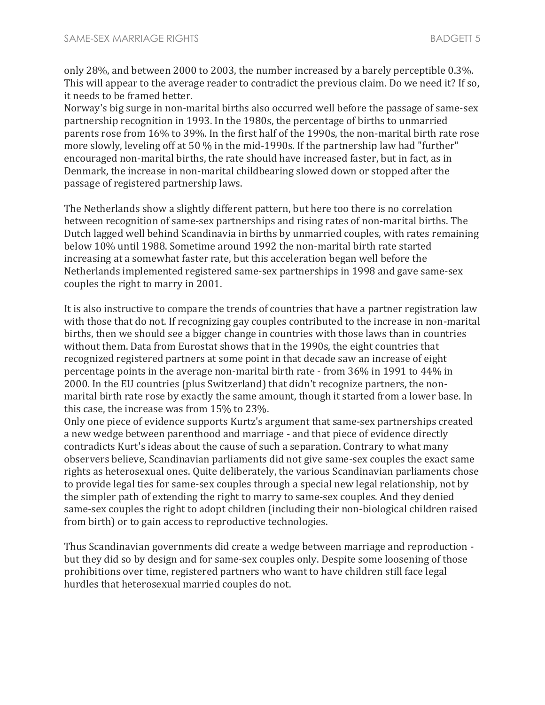only 28%, and between 2000 to 2003, the number increased by a barely perceptible 0.3%. This will appear to the average reader to contradict the previous claim. Do we need it? If so, it needs to be framed better.

Norway's big surge in non-marital births also occurred well before the passage of same-sex partnership recognition in 1993. In the 1980s, the percentage of births to unmarried parents rose from 16% to 39%. In the first half of the 1990s, the non-marital birth rate rose more slowly, leveling off at 50 % in the mid-1990s. If the partnership law had "further" encouraged non-marital births, the rate should have increased faster, but in fact, as in Denmark, the increase in non-marital childbearing slowed down or stopped after the passage of registered partnership laws.

The Netherlands show a slightly different pattern, but here too there is no correlation between recognition of same-sex partnerships and rising rates of non-marital births. The Dutch lagged well behind Scandinavia in births by unmarried couples, with rates remaining below 10% until 1988. Sometime around 1992 the non-marital birth rate started increasing at a somewhat faster rate, but this acceleration began well before the Netherlands implemented registered same-sex partnerships in 1998 and gave same-sex couples the right to marry in 2001.

It is also instructive to compare the trends of countries that have a partner registration law with those that do not. If recognizing gay couples contributed to the increase in non-marital births, then we should see a bigger change in countries with those laws than in countries without them. Data from Eurostat shows that in the 1990s, the eight countries that recognized registered partners at some point in that decade saw an increase of eight percentage points in the average non-marital birth rate - from 36% in 1991 to 44% in 2000. In the EU countries (plus Switzerland) that didn't recognize partners, the nonmarital birth rate rose by exactly the same amount, though it started from a lower base. In this case, the increase was from 15% to 23%.

Only one piece of evidence supports Kurtz's argument that same-sex partnerships created a new wedge between parenthood and marriage - and that piece of evidence directly contradicts Kurt's ideas about the cause of such a separation. Contrary to what many observers believe, Scandinavian parliaments did not give same-sex couples the exact same rights as heterosexual ones. Quite deliberately, the various Scandinavian parliaments chose to provide legal ties for same-sex couples through a special new legal relationship, not by the simpler path of extending the right to marry to same-sex couples. And they denied same-sex couples the right to adopt children (including their non-biological children raised from birth) or to gain access to reproductive technologies.

Thus Scandinavian governments did create a wedge between marriage and reproduction but they did so by design and for same-sex couples only. Despite some loosening of those prohibitions over time, registered partners who want to have children still face legal hurdles that heterosexual married couples do not.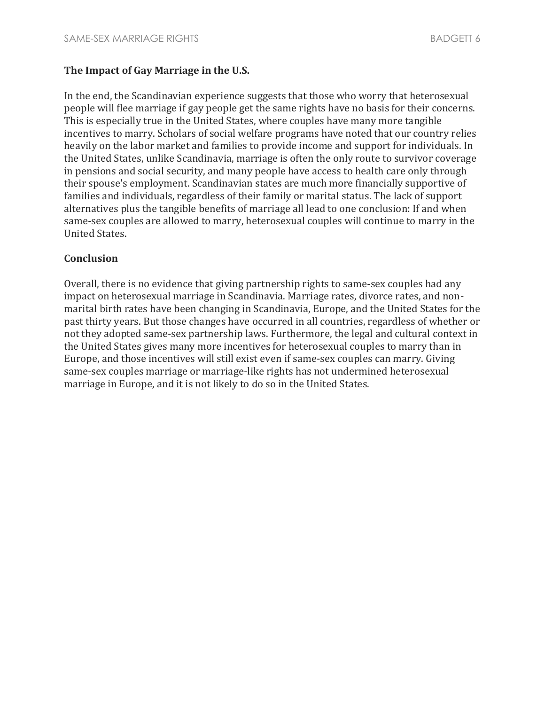### **The Impact of Gay Marriage in the U.S.**

In the end, the Scandinavian experience suggests that those who worry that heterosexual people will flee marriage if gay people get the same rights have no basis for their concerns. This is especially true in the United States, where couples have many more tangible incentives to marry. Scholars of social welfare programs have noted that our country relies heavily on the labor market and families to provide income and support for individuals. In the United States, unlike Scandinavia, marriage is often the only route to survivor coverage in pensions and social security, and many people have access to health care only through their spouse's employment. Scandinavian states are much more financially supportive of families and individuals, regardless of their family or marital status. The lack of support alternatives plus the tangible benefits of marriage all lead to one conclusion: If and when same-sex couples are allowed to marry, heterosexual couples will continue to marry in the United States.

#### **Conclusion**

Overall, there is no evidence that giving partnership rights to same-sex couples had any impact on heterosexual marriage in Scandinavia. Marriage rates, divorce rates, and nonmarital birth rates have been changing in Scandinavia, Europe, and the United States for the past thirty years. But those changes have occurred in all countries, regardless of whether or not they adopted same-sex partnership laws. Furthermore, the legal and cultural context in the United States gives many more incentives for heterosexual couples to marry than in Europe, and those incentives will still exist even if same-sex couples can marry. Giving same-sex couples marriage or marriage-like rights has not undermined heterosexual marriage in Europe, and it is not likely to do so in the United States.